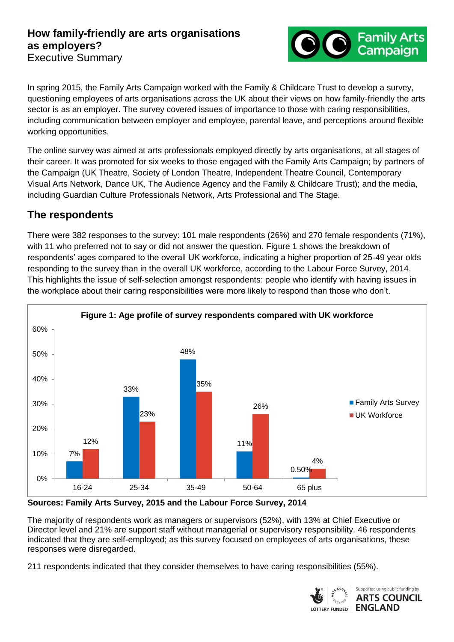### **How family-friendly are arts organisations as employers?**  Executive Summary



In spring 2015, the Family Arts Campaign worked with the Family & Childcare Trust to develop a survey, questioning employees of arts organisations across the UK about their views on how family-friendly the arts sector is as an employer. The survey covered issues of importance to those with caring responsibilities, including communication between employer and employee, parental leave, and perceptions around flexible working opportunities.

The online survey was aimed at arts professionals employed directly by arts organisations, at all stages of their career. It was promoted for six weeks to those engaged with the Family Arts Campaign; by partners of the Campaign (UK Theatre, Society of London Theatre, Independent Theatre Council, Contemporary Visual Arts Network, Dance UK, The Audience Agency and the Family & Childcare Trust); and the media, including Guardian Culture Professionals Network, Arts Professional and The Stage.

## **The respondents**

There were 382 responses to the survey: 101 male respondents (26%) and 270 female respondents (71%), with 11 who preferred not to say or did not answer the question. Figure 1 shows the breakdown of respondents' ages compared to the overall UK workforce, indicating a higher proportion of 25-49 year olds responding to the survey than in the overall UK workforce, according to the Labour Force Survey, 2014. This highlights the issue of self-selection amongst respondents: people who identify with having issues in the workplace about their caring responsibilities were more likely to respond than those who don't.



#### **Sources: Family Arts Survey, 2015 and the Labour Force Survey, 2014**

The majority of respondents work as managers or supervisors (52%), with 13% at Chief Executive or Director level and 21% are support staff without managerial or supervisory responsibility. 46 respondents indicated that they are self-employed; as this survey focused on employees of arts organisations, these responses were disregarded.

211 respondents indicated that they consider themselves to have caring responsibilities (55%).

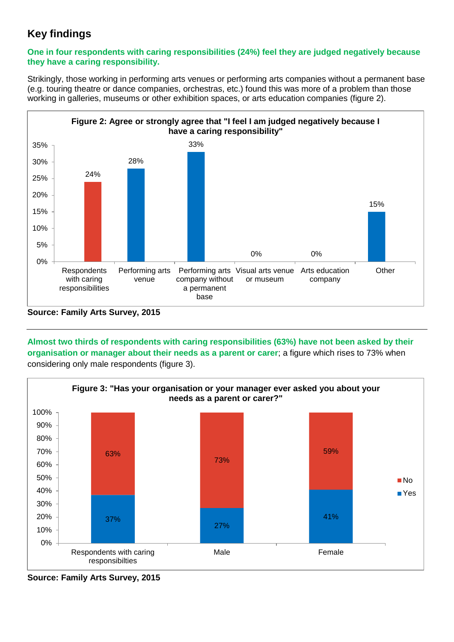# **Key findings**

#### **One in four respondents with caring responsibilities (24%) feel they are judged negatively because they have a caring responsibility.**

Strikingly, those working in performing arts venues or performing arts companies without a permanent base (e.g. touring theatre or dance companies, orchestras, etc.) found this was more of a problem than those working in galleries, museums or other exhibition spaces, or arts education companies (figure 2).



**Source: Family Arts Survey, 2015**

**Almost two thirds of respondents with caring responsibilities (63%) have not been asked by their organisation or manager about their needs as a parent or carer**; a figure which rises to 73% when considering only male respondents (figure 3).



**Source: Family Arts Survey, 2015**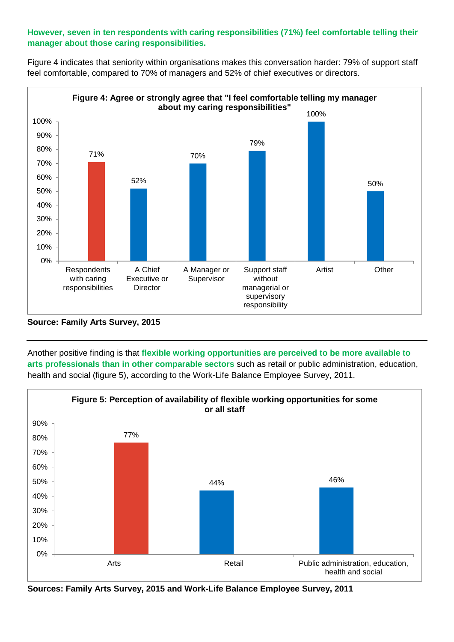### **However, seven in ten respondents with caring responsibilities (71%) feel comfortable telling their manager about those caring responsibilities.**

Figure 4 indicates that seniority within organisations makes this conversation harder: 79% of support staff feel comfortable, compared to 70% of managers and 52% of chief executives or directors.



**Source: Family Arts Survey, 2015**

Another positive finding is that **flexible working opportunities are perceived to be more available to arts professionals than in other comparable sectors** such as retail or public administration, education, health and social (figure 5), according to the Work-Life Balance Employee Survey, 2011.



**Sources: Family Arts Survey, 2015 and Work-Life Balance Employee Survey, 2011**